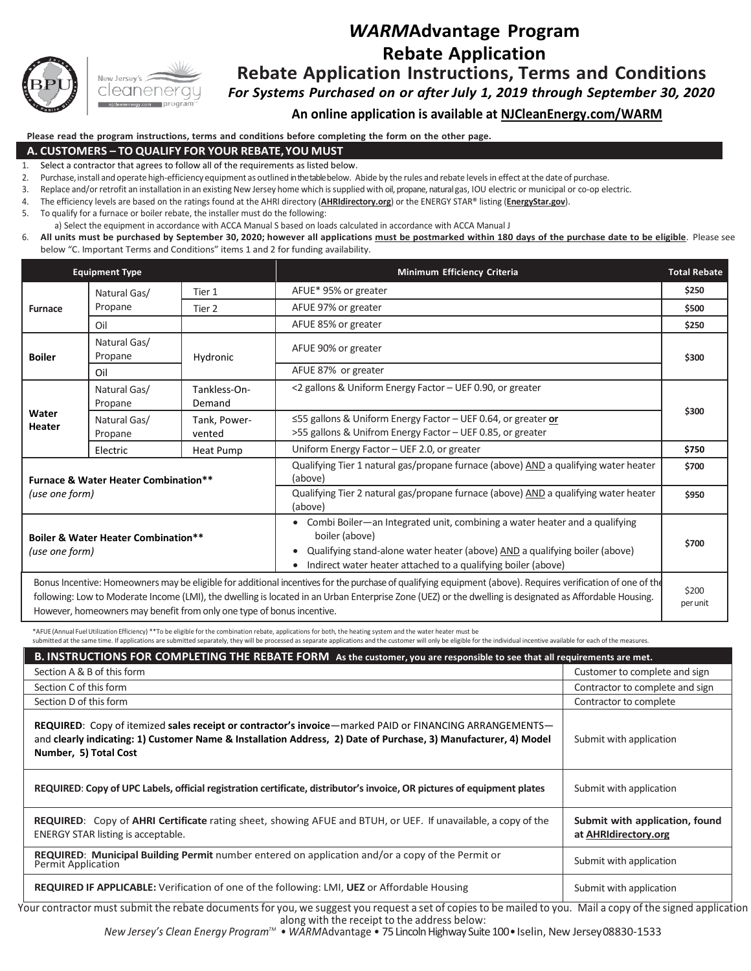

# *WARM***Advantage Program Rebate Application Rebate Application Instructions, Terms and Conditions**

*For Systems Purchased on or after July 1, 2019 through September 30, 2020*

**An online application is available at NJCleanEnergy.com/WARM**

**Please read the program instructions, terms and conditions before completing the form on the other page.**

#### **A. CUSTOMERS – TO QUALIFY FOR YOUR REBATE,YOU MUST**

- 1. Select a contractor that agrees to follow all of the requirements as listed below.
- 2. Purchase, install and operate high-efficiency equipment as outlined in the table below. Abide by the rules and rebate levels in effect at the date of purchase.
- 3. Replace and/or retrofit an installation in an existing New Jersey home which issupplied with oil, propane, natural gas, IOU electric or municipal or co-op electric.
- 4. The efficiency levels are based on the ratings found at the AHRI directory (**AHRIdirectory.org**) or the ENERGY STAR® listing (**EnergyStar.gov**).
- 5. To qualify for a furnace or boiler rebate, the installer must do the following:
- a) Select the equipment in accordance with ACCA Manual S based on loads calculated in accordance with ACCA Manual J
- 6. All units must be purchased by September 30, 2020; however all applications must be postmarked within 180 days of the purchase date to be eligible. Please see below "C. Important Terms and Conditions" items 1 and 2 for funding availability.

| <b>Equipment Type</b>                                                                                                                                                                                                                                                                                                  |                         |                        | <b>Minimum Efficiency Criteria</b>                                                                                                                                                                                                             | <b>Total Rebate</b> |
|------------------------------------------------------------------------------------------------------------------------------------------------------------------------------------------------------------------------------------------------------------------------------------------------------------------------|-------------------------|------------------------|------------------------------------------------------------------------------------------------------------------------------------------------------------------------------------------------------------------------------------------------|---------------------|
| <b>Furnace</b>                                                                                                                                                                                                                                                                                                         | Natural Gas/<br>Propane | Tier 1                 | AFUE* 95% or greater                                                                                                                                                                                                                           | \$250               |
|                                                                                                                                                                                                                                                                                                                        |                         | Tier 2                 | AFUE 97% or greater                                                                                                                                                                                                                            | \$500               |
|                                                                                                                                                                                                                                                                                                                        | Oil                     |                        | AFUE 85% or greater                                                                                                                                                                                                                            | \$250               |
| <b>Boiler</b>                                                                                                                                                                                                                                                                                                          | Natural Gas/<br>Propane | Hydronic               | AFUE 90% or greater                                                                                                                                                                                                                            | \$300               |
|                                                                                                                                                                                                                                                                                                                        | Oil                     |                        | AFUE 87% or greater                                                                                                                                                                                                                            |                     |
| Water<br>Heater                                                                                                                                                                                                                                                                                                        | Natural Gas/<br>Propane | Tankless-On-<br>Demand | <2 gallons & Uniform Energy Factor - UEF 0.90, or greater                                                                                                                                                                                      | \$300               |
|                                                                                                                                                                                                                                                                                                                        | Natural Gas/<br>Propane | Tank, Power-<br>vented | ≤55 gallons & Uniform Energy Factor - UEF 0.64, or greater or<br>>55 gallons & Unifrom Energy Factor - UEF 0.85, or greater                                                                                                                    |                     |
|                                                                                                                                                                                                                                                                                                                        | Electric                | Heat Pump              | Uniform Energy Factor - UEF 2.0, or greater                                                                                                                                                                                                    | \$750               |
| <b>Furnace &amp; Water Heater Combination**</b><br>(use one form)                                                                                                                                                                                                                                                      |                         |                        | Qualifying Tier 1 natural gas/propane furnace (above) AND a qualifying water heater<br>(above)                                                                                                                                                 | \$700               |
|                                                                                                                                                                                                                                                                                                                        |                         |                        | Qualifying Tier 2 natural gas/propane furnace (above) AND a qualifying water heater<br>(above)                                                                                                                                                 | \$950               |
| <b>Boiler &amp; Water Heater Combination**</b><br>(use one form)                                                                                                                                                                                                                                                       |                         |                        | • Combi Boiler-an Integrated unit, combining a water heater and a qualifying<br>boiler (above)<br>Qualifying stand-alone water heater (above) AND a qualifying boiler (above)<br>Indirect water heater attached to a qualifying boiler (above) | \$700               |
| Bonus Incentive: Homeowners may be eligible for additional incentives for the purchase of qualifying equipment (above). Requires verification of one of the<br>following: Low to Moderate Income (LMI), the dwelling is located in an Urban Enterprise Zone (UEZ) or the dwelling is designated as Affordable Housing. |                         |                        |                                                                                                                                                                                                                                                |                     |

However, homeowners may benefit from only one type of bonus incentive.

\*AFUE (Annual FuelUtilization Efficiency) \*\*To be eligible for the combination rebate, applications for both, the heating system and the water heater must be

submitted at the same time. If applications are submitted separately, they will be processed as separate applications and the customer will only be eligible for the individual incentive available for each of the measures

| B. INSTRUCTIONS FOR COMPLETING THE REBATE FORM As the customer, you are responsible to see that all requirements are met.                                                                                                                           |                                                        |  |  |  |  |  |
|-----------------------------------------------------------------------------------------------------------------------------------------------------------------------------------------------------------------------------------------------------|--------------------------------------------------------|--|--|--|--|--|
| Section A & B of this form                                                                                                                                                                                                                          | Customer to complete and sign                          |  |  |  |  |  |
| Section C of this form                                                                                                                                                                                                                              | Contractor to complete and sign                        |  |  |  |  |  |
| Section D of this form                                                                                                                                                                                                                              | Contractor to complete                                 |  |  |  |  |  |
| REQUIRED: Copy of itemized sales receipt or contractor's invoice—marked PAID or FINANCING ARRANGEMENTS—<br>and clearly indicating: 1) Customer Name & Installation Address, 2) Date of Purchase, 3) Manufacturer, 4) Model<br>Number, 5) Total Cost | Submit with application                                |  |  |  |  |  |
| REQUIRED: Copy of UPC Labels, official registration certificate, distributor's invoice, OR pictures of equipment plates                                                                                                                             | Submit with application                                |  |  |  |  |  |
| <b>REQUIRED:</b> Copy of <b>AHRI Certificate</b> rating sheet, showing AFUE and BTUH, or UEF. If unavailable, a copy of the<br><b>ENERGY STAR listing is acceptable.</b>                                                                            | Submit with application, found<br>at AHRIdirectory.org |  |  |  |  |  |
| REQUIRED: Municipal Building Permit number entered on application and/or a copy of the Permit or<br><b>Permit Application</b>                                                                                                                       | Submit with application                                |  |  |  |  |  |
| <b>REQUIRED IF APPLICABLE:</b> Verification of one of the following: LMI, UEZ or Affordable Housing                                                                                                                                                 | Submit with application                                |  |  |  |  |  |

Your contractor must submit the rebate documents for you, we suggest you request a set of copies to be mailed to you. Mail a copy of the signed application along with the receipt to the address below:

*New Jersey's Clean Energy Program™ • WARMAdvantage • 75 Lincoln Highway Suite 100 • Iselin, New Jersey 08830-1533*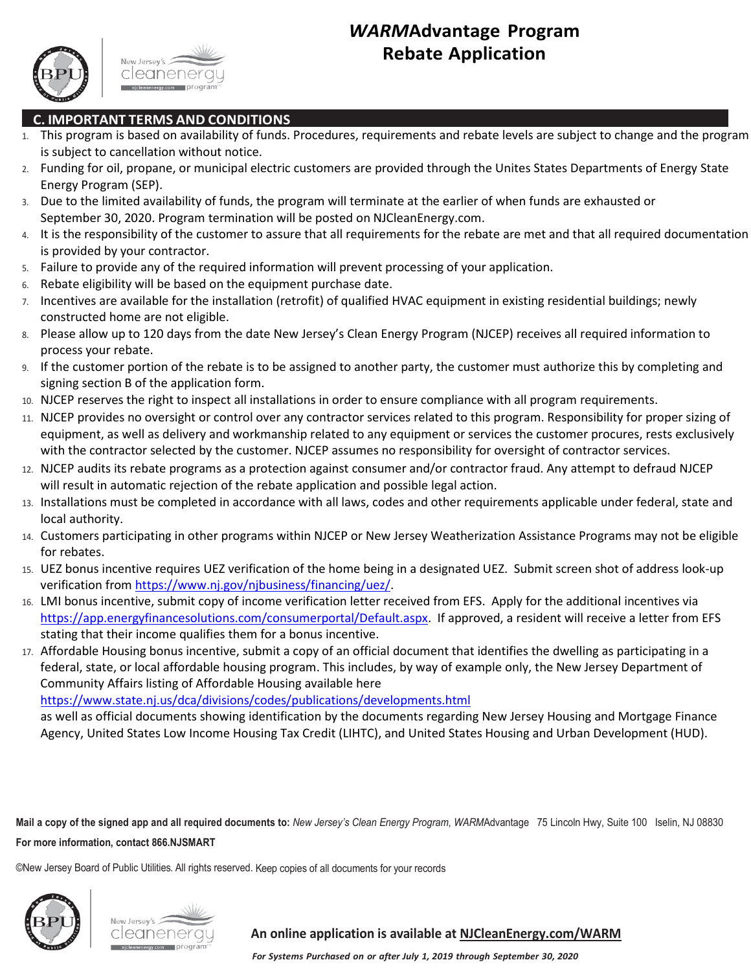



### **C. IMPORTANT TERMS AND CONDITIONS**

- 1. This program is based on availability of funds. Procedures, requirements and rebate levels are subject to change and the program is subject to cancellation without notice.
- 2. Funding for oil, propane, or municipal electric customers are provided through the Unites States Departments of Energy State Energy Program (SEP).
- 3. Due to the limited availability of funds, the program will terminate at the earlier of when funds are exhausted or September 30, 2020. Program termination will be posted on NJCleanEnergy.com.
- 4. It is the responsibility of the customer to assure that all requirements for the rebate are met and that all required documentation is provided by your contractor.
- 5. Failure to provide any of the required information will prevent processing of your application.
- 6. Rebate eligibility will be based on the equipment purchase date.
- 7. Incentives are available for the installation (retrofit) of qualified HVAC equipment in existing residential buildings; newly constructed home are not eligible.
- 8. Please allow up to 120 days from the date New Jersey's Clean Energy Program (NJCEP) receives all required information to process your rebate.
- 9. If the customer portion of the rebate is to be assigned to another party, the customer must authorize this by completing and signing section B of the application form.
- 10. NJCEP reserves the right to inspect all installations in order to ensure compliance with all program requirements.
- 11. NJCEP provides no oversight or control over any contractor services related to this program. Responsibility for proper sizing of equipment, as well as delivery and workmanship related to any equipment or services the customer procures, rests exclusively with the contractor selected by the customer. NJCEP assumes no responsibility for oversight of contractor services.
- 12. NJCEP audits its rebate programs as a protection against consumer and/or contractor fraud. Any attempt to defraud NJCEP will result in automatic rejection of the rebate application and possible legal action.
- 13. Installations must be completed in accordance with all laws, codes and other requirements applicable under federal, state and local authority.
- 14. Customers participating in other programs within NJCEP or New Jersey Weatherization Assistance Programs may not be eligible for rebates.
- 15. UEZ bonus incentive requires UEZ verification of the home being in a designated UEZ. Submit screen shot of address look-up verification from [https://www.nj.gov/njbusiness/financing/uez/.](https://www.nj.gov/njbusiness/financing/uez/)
- 16. LMI bonus incentive, submit copy of income verification letter received from EFS. Apply for the additional incentives via [https://app.energyfinancesolutions.com/consumerportal/Default.aspx.](https://app.energyfinancesolutions.com/consumerportal/Default.aspx) If approved, a resident will receive a letter from EFS stating that their income qualifies them for a bonus incentive.
- 17. Affordable Housing bonus incentive, submit a copy of an official document that identifies the dwelling as participating in a federal, state, or local affordable housing program. This includes, by way of example only, the New Jersey Department of Community Affairs listing of Affordable Housing available here

<https://www.state.nj.us/dca/divisions/codes/publications/developments.html>

as well as official documents showing identification by the documents regarding New Jersey Housing and Mortgage Finance Agency, United States Low Income Housing Tax Credit (LIHTC), and United States Housing and Urban Development (HUD).

**Mail a copy of the signed app and all required documents to:** *New Jersey's Clean Energy Program*, *WARM*Advantage 75 Lincoln Hwy, Suite 100 Iselin, NJ 08830 **For more information, contact 866.NJSMART**

©New Jersey Board of Public Utilities. All rights reserved. Keep copies of all documents for your records





### **An online application is available at NJCleanEnergy.com/WARM**